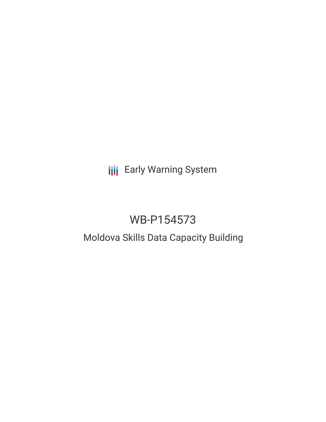# **III** Early Warning System

# WB-P154573

### Moldova Skills Data Capacity Building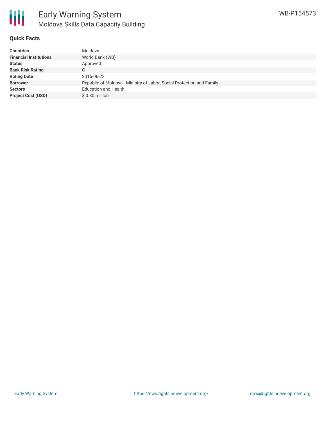

#### **Quick Facts**

| <b>Financial Institutions</b>                                                            |  |
|------------------------------------------------------------------------------------------|--|
| World Bank (WB)                                                                          |  |
| <b>Status</b><br>Approved                                                                |  |
| <b>Bank Risk Rating</b><br>C.                                                            |  |
| <b>Voting Date</b><br>2016-06-23                                                         |  |
| Republic of Moldova - Ministry of Labor, Social Protection and Family<br><b>Borrower</b> |  |
| <b>Education and Health</b><br><b>Sectors</b>                                            |  |
| <b>Project Cost (USD)</b><br>$$0.30$ million                                             |  |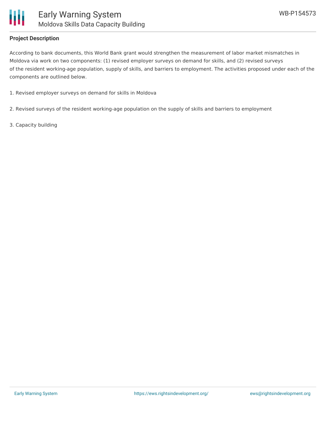

#### **Project Description**

According to bank documents, this World Bank grant would strengthen the measurement of labor market mismatches in Moldova via work on two components: (1) revised employer surveys on demand for skills, and (2) revised surveys of the resident working-age population, supply of skills, and barriers to employment. The activities proposed under each of the components are outlined below.

- 1. Revised employer surveys on demand for skills in Moldova
- 2. Revised surveys of the resident working-age population on the supply of skills and barriers to employment
- 3. Capacity building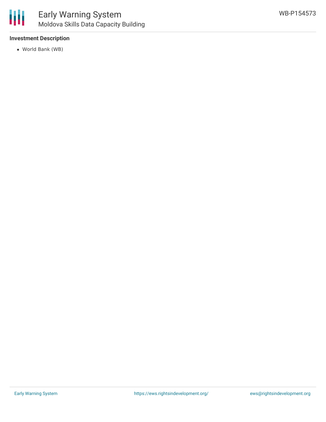

#### **Investment Description**

World Bank (WB)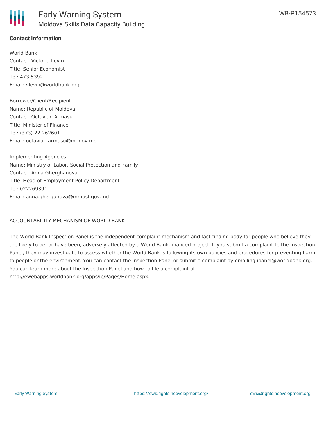#### **Contact Information**

World Bank Contact: Victoria Levin Title: Senior Economist Tel: 473-5392 Email: vlevin@worldbank.org

Borrower/Client/Recipient Name: Republic of Moldova Contact: Octavian Armasu Title: Minister of Finance Tel: (373) 22 262601 Email: octavian.armasu@mf.gov.md

Implementing Agencies Name: Ministry of Labor, Social Protection and Family Contact: Anna Gherghanova Title: Head of Employment Policy Department Tel: 022269391 Email: anna.gherganova@mmpsf.gov.md

ACCOUNTABILITY MECHANISM OF WORLD BANK

The World Bank Inspection Panel is the independent complaint mechanism and fact-finding body for people who believe they are likely to be, or have been, adversely affected by a World Bank-financed project. If you submit a complaint to the Inspection Panel, they may investigate to assess whether the World Bank is following its own policies and procedures for preventing harm to people or the environment. You can contact the Inspection Panel or submit a complaint by emailing ipanel@worldbank.org. You can learn more about the Inspection Panel and how to file a complaint at: http://ewebapps.worldbank.org/apps/ip/Pages/Home.aspx.